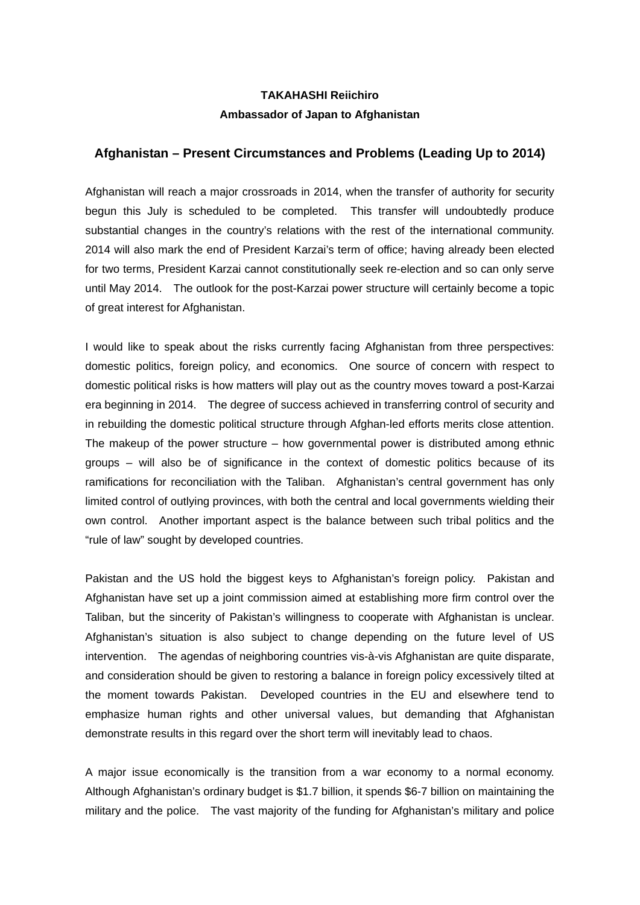## **TAKAHASHI Reiichiro Ambassador of Japan to Afghanistan**

## **Afghanistan – Present Circumstances and Problems (Leading Up to 2014)**

Afghanistan will reach a major crossroads in 2014, when the transfer of authority for security begun this July is scheduled to be completed. This transfer will undoubtedly produce substantial changes in the country's relations with the rest of the international community. 2014 will also mark the end of President Karzai's term of office; having already been elected for two terms, President Karzai cannot constitutionally seek re-election and so can only serve until May 2014. The outlook for the post-Karzai power structure will certainly become a topic of great interest for Afghanistan.

I would like to speak about the risks currently facing Afghanistan from three perspectives: domestic politics, foreign policy, and economics. One source of concern with respect to domestic political risks is how matters will play out as the country moves toward a post-Karzai era beginning in 2014. The degree of success achieved in transferring control of security and in rebuilding the domestic political structure through Afghan-led efforts merits close attention. The makeup of the power structure – how governmental power is distributed among ethnic groups – will also be of significance in the context of domestic politics because of its ramifications for reconciliation with the Taliban. Afghanistan's central government has only limited control of outlying provinces, with both the central and local governments wielding their own control. Another important aspect is the balance between such tribal politics and the "rule of law" sought by developed countries.

Pakistan and the US hold the biggest keys to Afghanistan's foreign policy. Pakistan and Afghanistan have set up a joint commission aimed at establishing more firm control over the Taliban, but the sincerity of Pakistan's willingness to cooperate with Afghanistan is unclear. Afghanistan's situation is also subject to change depending on the future level of US intervention. The agendas of neighboring countries vis-à-vis Afghanistan are quite disparate, and consideration should be given to restoring a balance in foreign policy excessively tilted at the moment towards Pakistan. Developed countries in the EU and elsewhere tend to emphasize human rights and other universal values, but demanding that Afghanistan demonstrate results in this regard over the short term will inevitably lead to chaos.

A major issue economically is the transition from a war economy to a normal economy. Although Afghanistan's ordinary budget is \$1.7 billion, it spends \$6-7 billion on maintaining the military and the police. The vast majority of the funding for Afghanistan's military and police